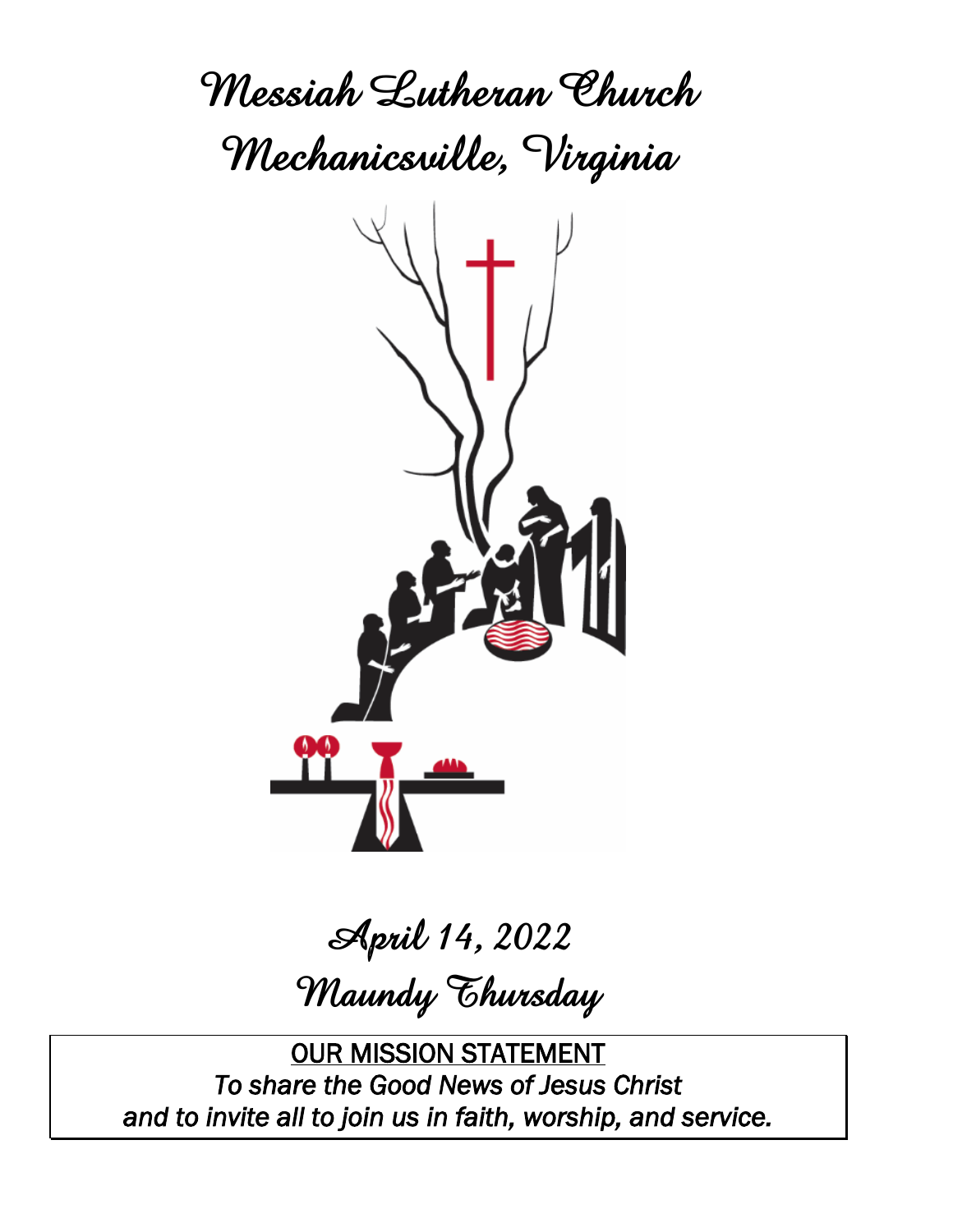**Messiah Lutheran Church Mechanicsville, Virginia**



# **April 14, 2022 Maundy Thursday**

OUR MISSION STATEMENT *To share the Good News of Jesus Christ and to invite all to join us in faith, worship, and service.*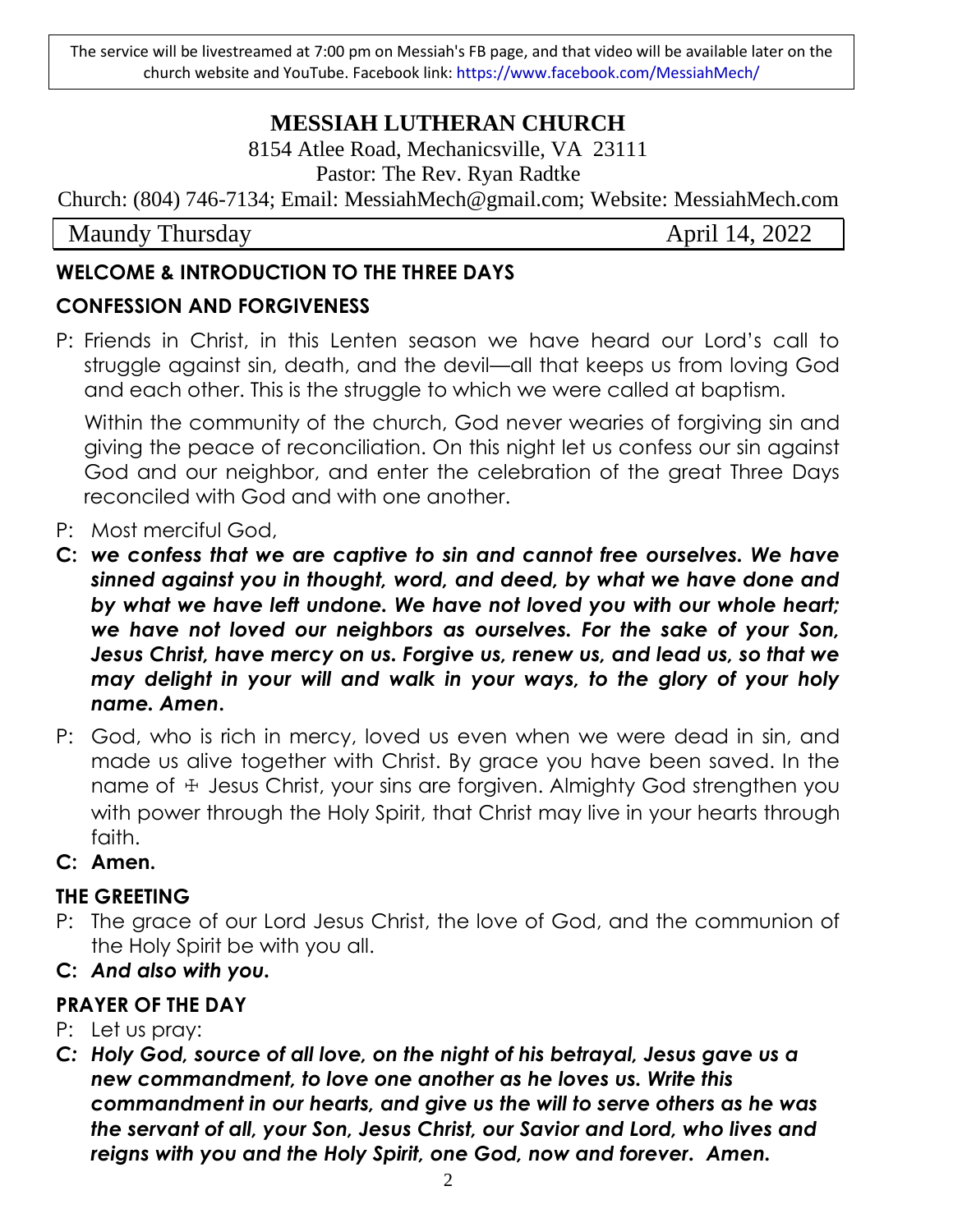The service will be livestreamed at 7:00 pm on Messiah's FB page, and that video will be available later on the church website and YouTube. Facebook link: https://www.facebook.com/MessiahMech/

# **MESSIAH LUTHERAN CHURCH**

8154 Atlee Road, Mechanicsville, VA 23111 Pastor: The Rev. Ryan Radtke

Church: (804) 746-7134; Email: MessiahMech@gmail.com; Website: MessiahMech.com

Maundy Thursday **April 14, 2022** 

# **WELCOME & INTRODUCTION TO THE THREE DAYS**

# **CONFESSION AND FORGIVENESS**

P: Friends in Christ, in this Lenten season we have heard our Lord's call to struggle against sin, death, and the devil—all that keeps us from loving God and each other. This is the struggle to which we were called at baptism.

Within the community of the church, God never wearies of forgiving sin and giving the peace of reconciliation. On this night let us confess our sin against God and our neighbor, and enter the celebration of the great Three Days reconciled with God and with one another.

- P: Most merciful God,
- **C:** *we confess that we are captive to sin and cannot free ourselves. We have sinned against you in thought, word, and deed, by what we have done and by what we have left undone. We have not loved you with our whole heart; we have not loved our neighbors as ourselves. For the sake of your Son, Jesus Christ, have mercy on us. Forgive us, renew us, and lead us, so that we may delight in your will and walk in your ways, to the glory of your holy name. Amen***.**
- P: God, who is rich in mercy, loved us even when we were dead in sin, and made us alive together with Christ. By grace you have been saved. In the name of  $\pm$  Jesus Christ, your sins are forgiven. Almighty God strengthen you with power through the Holy Spirit, that Christ may live in your hearts through faith.
- **C: Amen.**

# **THE GREETING**

- P: The grace of our Lord Jesus Christ, the love of God, and the communion of the Holy Spirit be with you all.
- **C:** *And also with you.*

# **PRAYER OF THE DAY**

- P: Let us pray:
- *C: Holy God, source of all love, on the night of his betrayal, Jesus gave us a new commandment, to love one another as he loves us. Write this commandment in our hearts, and give us the will to serve others as he was the servant of all, your Son, Jesus Christ, our Savior and Lord, who lives and reigns with you and the Holy Spirit, one God, now and forever. Amen.*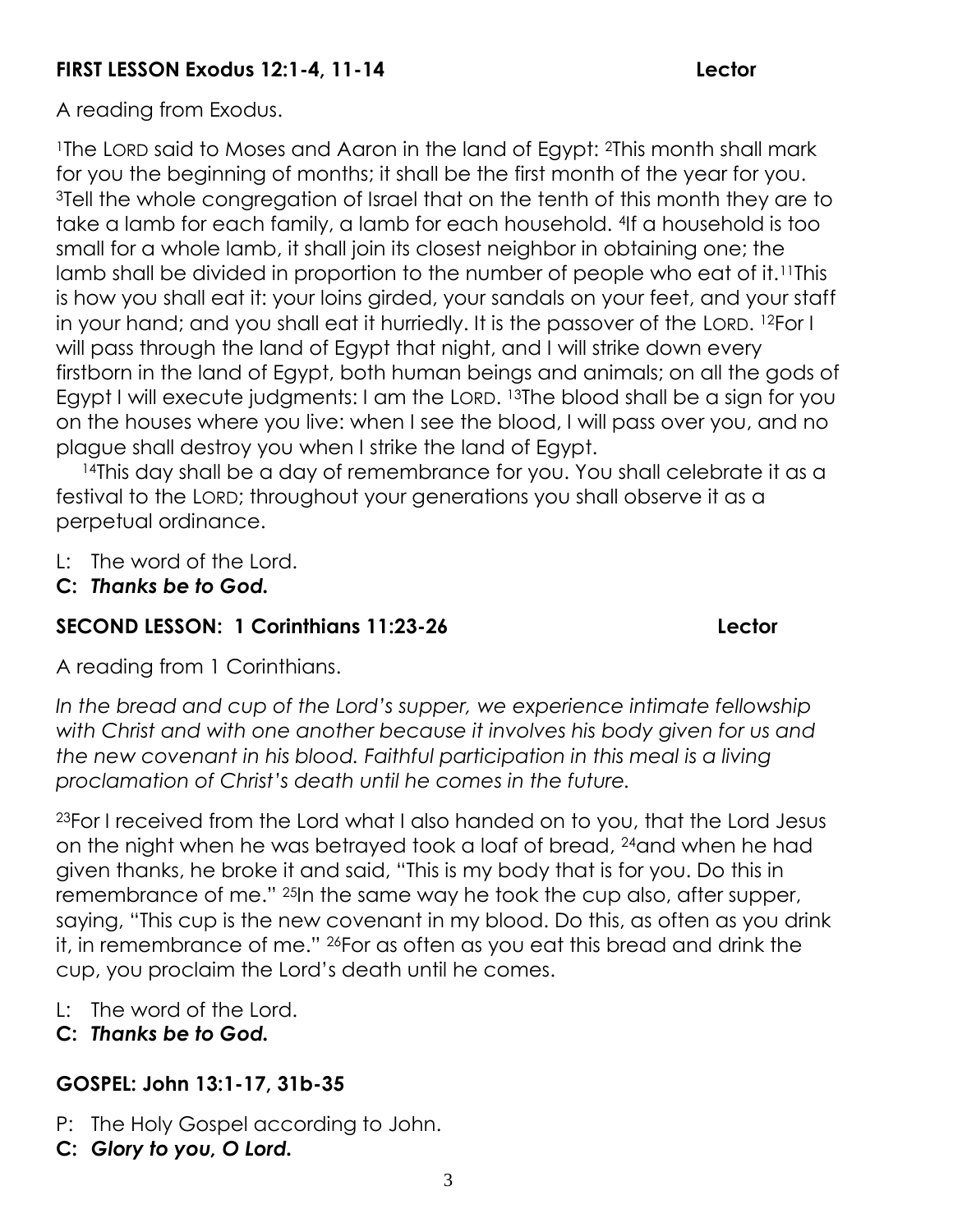# **FIRST LESSON Exodus 12:1-4, 11-14 Lector**

A reading from Exodus.

<sup>1</sup>The LORD said to Moses and Aaron in the land of Egypt: <sup>2</sup>This month shall mark for you the beginning of months; it shall be the first month of the year for you. <sup>3</sup>Tell the whole congregation of Israel that on the tenth of this month they are to take a lamb for each family, a lamb for each household. 4If a household is too small for a whole lamb, it shall join its closest neighbor in obtaining one; the lamb shall be divided in proportion to the number of people who eat of it.11This is how you shall eat it: your loins girded, your sandals on your feet, and your staff in your hand; and you shall eat it hurriedly. It is the passover of the LORD. <sup>12</sup>For I will pass through the land of Egypt that night, and I will strike down every firstborn in the land of Egypt, both human beings and animals; on all the gods of Egypt I will execute judgments: I am the LORD. <sup>13</sup>The blood shall be a sign for you on the houses where you live: when I see the blood, I will pass over you, and no plague shall destroy you when I strike the land of Egypt.

<sup>14</sup>This day shall be a day of remembrance for you. You shall celebrate it as a festival to the LORD; throughout your generations you shall observe it as a perpetual ordinance.

- L: The word of the Lord.
- **C:** *Thanks be to God.*

# **SECOND LESSON: 1 Corinthians 11:23-26 Lector**

A reading from 1 Corinthians.

*In the bread and cup of the Lord's supper, we experience intimate fellowship with Christ and with one another because it involves his body given for us and the new covenant in his blood. Faithful participation in this meal is a living proclamation of Christ's death until he comes in the future.*

23For I received from the Lord what I also handed on to you, that the Lord Jesus on the night when he was betrayed took a loaf of bread, 24and when he had given thanks, he broke it and said, "This is my body that is for you. Do this in remembrance of me." 25In the same way he took the cup also, after supper, saying, "This cup is the new covenant in my blood. Do this, as often as you drink it, in remembrance of me." 26For as often as you eat this bread and drink the cup, you proclaim the Lord's death until he comes.

- L: The word of the Lord.
- **C:** *Thanks be to God.*

# **GOSPEL: John 13:1-17, 31b-35**

- P: The Holy Gospel according to John.
- **C:** *Glory to you, O Lord.*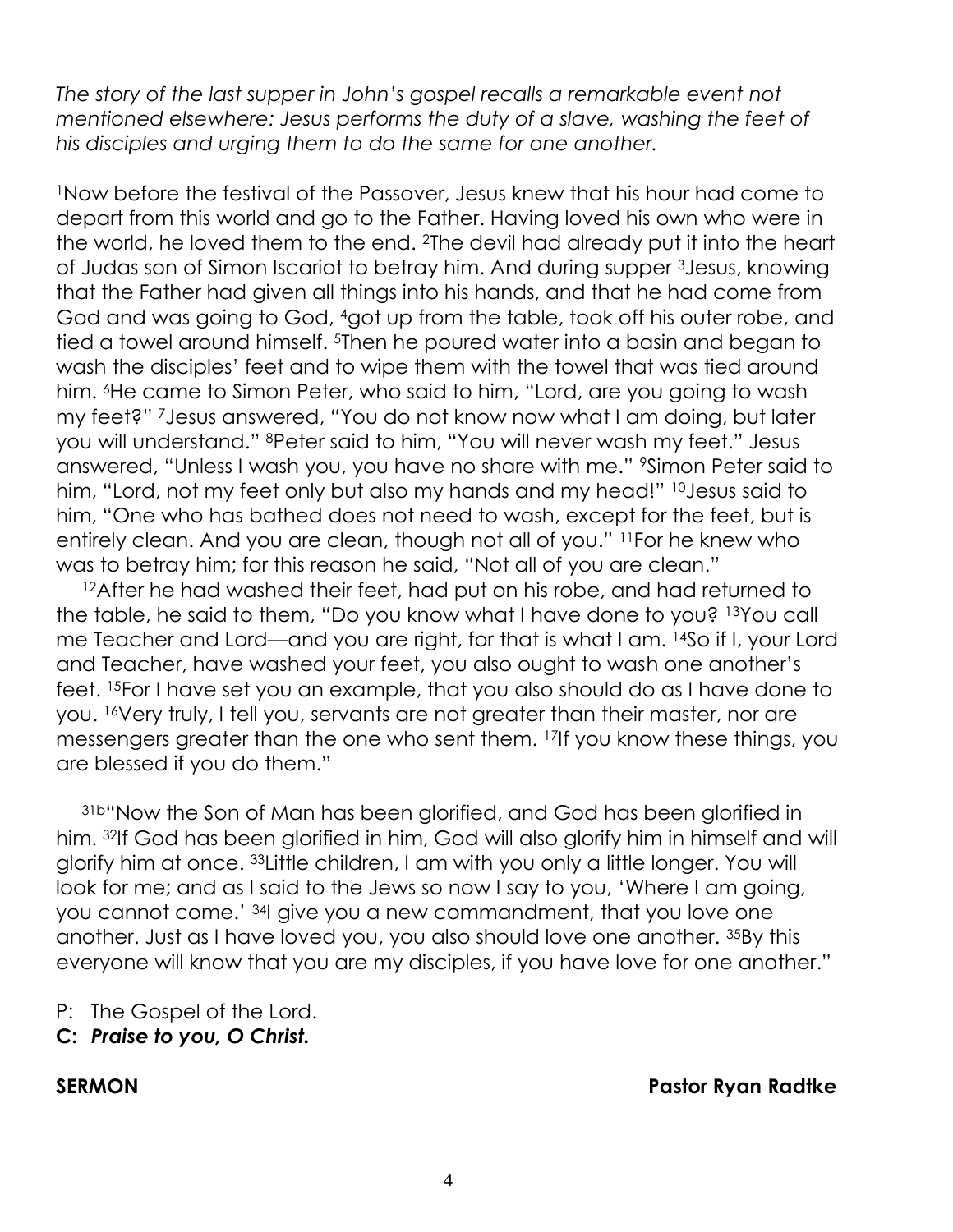The story of the last supper in John's gospel recalls a remarkable event not *mentioned elsewhere: Jesus performs the duty of a slave, washing the feet of his disciples and urging them to do the same for one another.*

<sup>1</sup>Now before the festival of the Passover, Jesus knew that his hour had come to depart from this world and go to the Father. Having loved his own who were in the world, he loved them to the end. 2The devil had already put it into the heart of Judas son of Simon Iscariot to betray him. And during supper 3Jesus, knowing that the Father had given all things into his hands, and that he had come from God and was going to God, 4got up from the table, took off his outer robe, and tied a towel around himself. 5Then he poured water into a basin and began to wash the disciples' feet and to wipe them with the towel that was tied around him. <sup>6</sup>He came to Simon Peter, who said to him, "Lord, are you going to wash my feet?" 7Jesus answered, "You do not know now what I am doing, but later you will understand." 8Peter said to him, "You will never wash my feet." Jesus answered, "Unless I wash you, you have no share with me." 9Simon Peter said to him, "Lord, not my feet only but also my hands and my head!" <sup>10</sup>Jesus said to him, "One who has bathed does not need to wash, except for the feet, but is entirely clean. And you are clean, though not all of you." 11For he knew who was to betray him; for this reason he said, "Not all of you are clean."

<sup>12</sup>After he had washed their feet, had put on his robe, and had returned to the table, he said to them, "Do you know what I have done to you? 13You call me Teacher and Lord—and you are right, for that is what I am. 14So if I, your Lord and Teacher, have washed your feet, you also ought to wash one another's feet. 15For I have set you an example, that you also should do as I have done to you. 16Very truly, I tell you, servants are not greater than their master, nor are messengers greater than the one who sent them. 17If you know these things, you are blessed if you do them."

31b"Now the Son of Man has been glorified, and God has been glorified in him. 32If God has been glorified in him, God will also glorify him in himself and will glorify him at once. 33Little children, I am with you only a little longer. You will look for me; and as I said to the Jews so now I say to you, 'Where I am going, you cannot come.' 34I give you a new commandment, that you love one another. Just as I have loved you, you also should love one another. 35By this everyone will know that you are my disciples, if you have love for one another."

- P: The Gospel of the Lord.
- **C:** *Praise to you, O Christ.*

#### **SERMON Pastor Ryan Radtke**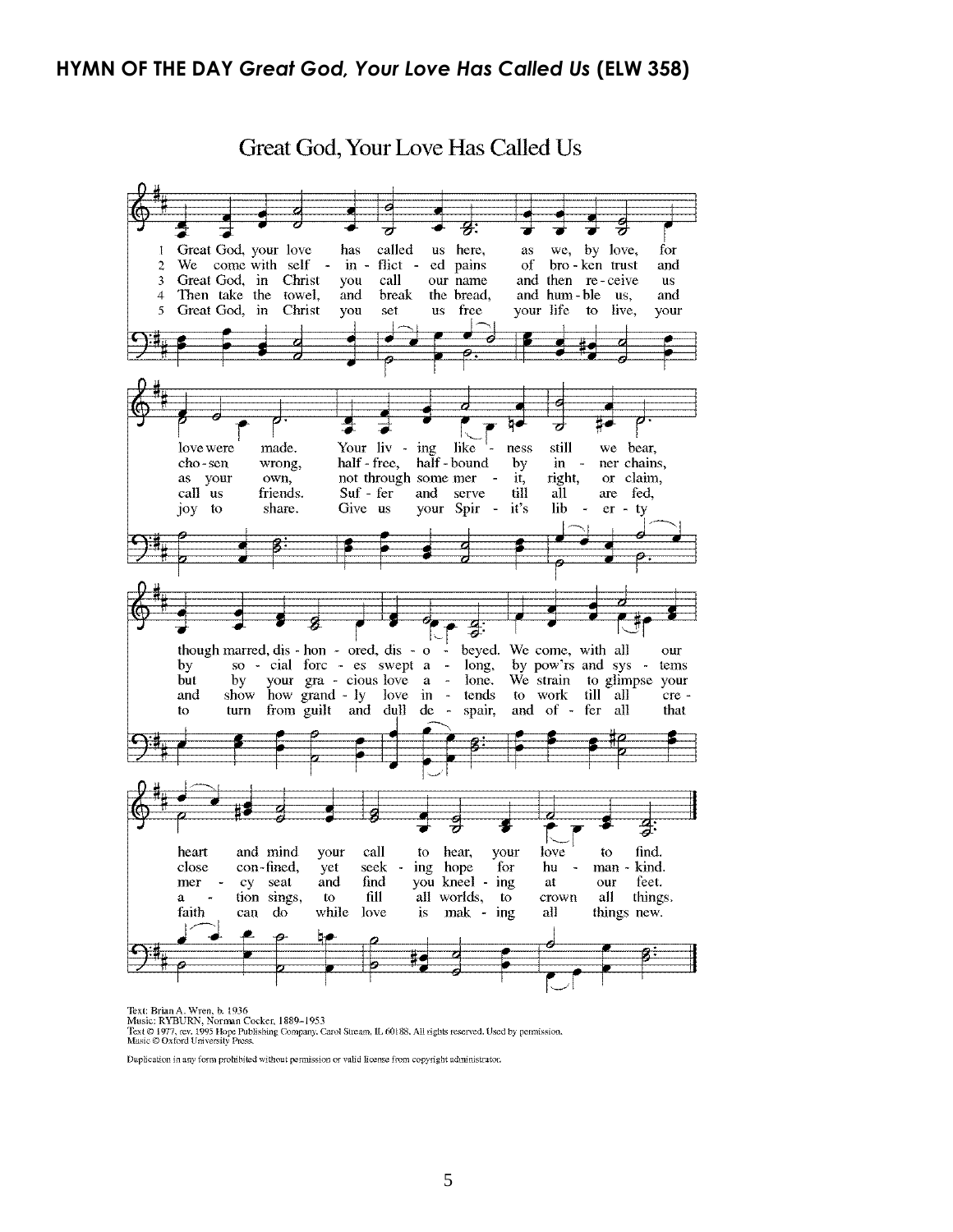#### **HYMN OF THE DAY** *Great God, Your Love Has Called Us* **(ELW 358)**



Great God, Your Love Has Called Us

Text: Brian A. Wren, b. 1936<br>Music: RYBURN, Norman Cocker, 1889–1953<br>Text © 1977, ev. 1995 Hope Publishing Company, Carol Stream, IL 60188. All rights reserved. Used by permission.<br>Music © Oxford University Press.

Duplication in any form prohibited without permission or valid license from copyright administrator.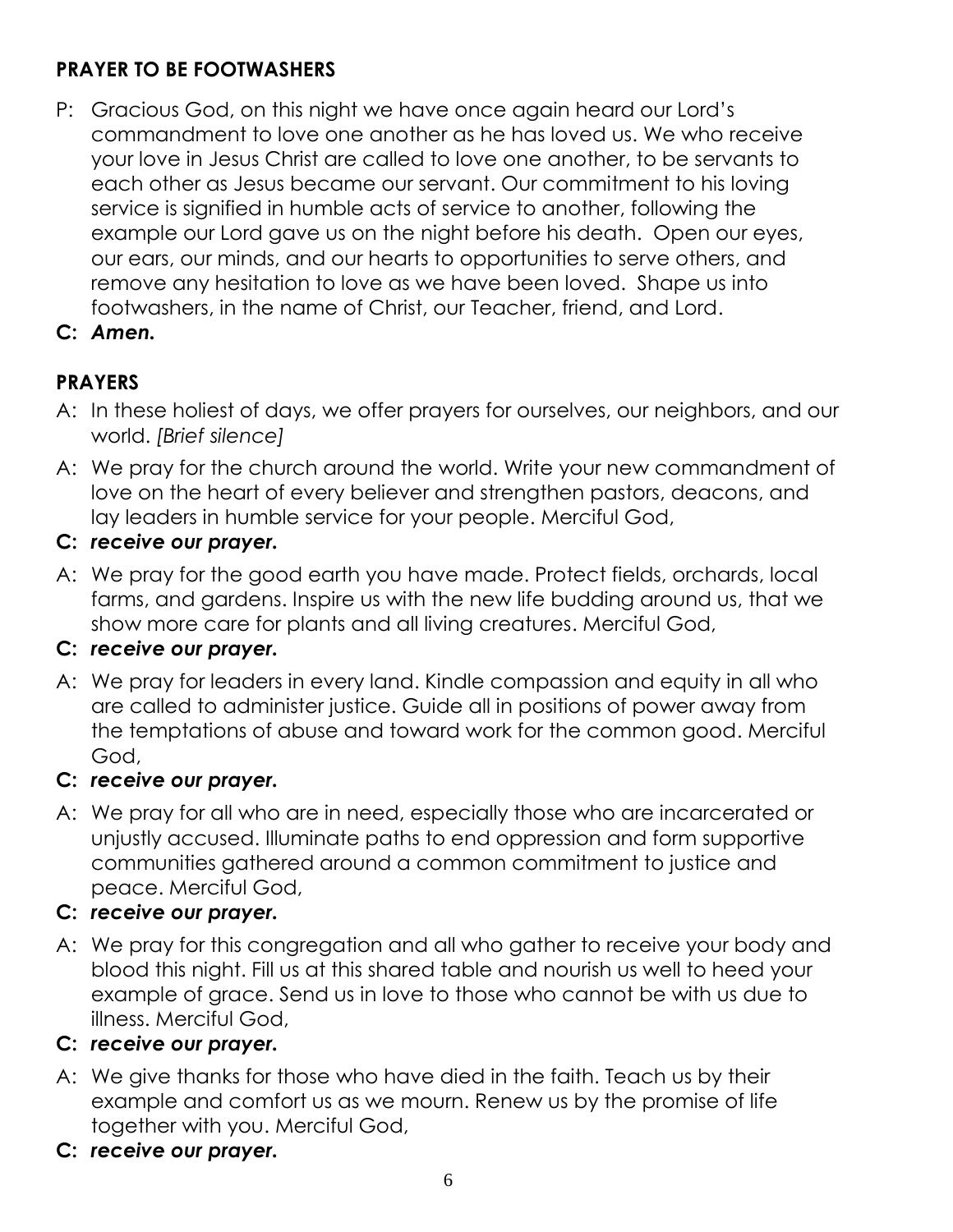# **PRAYER TO BE FOOTWASHERS**

- P: Gracious God, on this night we have once again heard our Lord's commandment to love one another as he has loved us. We who receive your love in Jesus Christ are called to love one another, to be servants to each other as Jesus became our servant. Our commitment to his loving service is signified in humble acts of service to another, following the example our Lord gave us on the night before his death. Open our eyes, our ears, our minds, and our hearts to opportunities to serve others, and remove any hesitation to love as we have been loved. Shape us into footwashers, in the name of Christ, our Teacher, friend, and Lord.
- **C:** *Amen.*

# **PRAYERS**

- A: In these holiest of days, we offer prayers for ourselves, our neighbors, and our world. *[Brief silence]*
- A: We pray for the church around the world. Write your new commandment of love on the heart of every believer and strengthen pastors, deacons, and lay leaders in humble service for your people. Merciful God,
- **C:** *receive our prayer.*
- A: We pray for the good earth you have made. Protect fields, orchards, local farms, and gardens. Inspire us with the new life budding around us, that we show more care for plants and all living creatures. Merciful God,

# **C:** *receive our prayer.*

A: We pray for leaders in every land. Kindle compassion and equity in all who are called to administer justice. Guide all in positions of power away from the temptations of abuse and toward work for the common good. Merciful God,

#### **C:** *receive our prayer.*

A: We pray for all who are in need, especially those who are incarcerated or unjustly accused. Illuminate paths to end oppression and form supportive communities gathered around a common commitment to justice and peace. Merciful God,

#### **C:** *receive our prayer.*

A: We pray for this congregation and all who gather to receive your body and blood this night. Fill us at this shared table and nourish us well to heed your example of grace. Send us in love to those who cannot be with us due to illness. Merciful God,

# **C:** *receive our prayer.*

- A: We give thanks for those who have died in the faith. Teach us by their example and comfort us as we mourn. Renew us by the promise of life together with you. Merciful God,
- **C:** *receive our prayer.*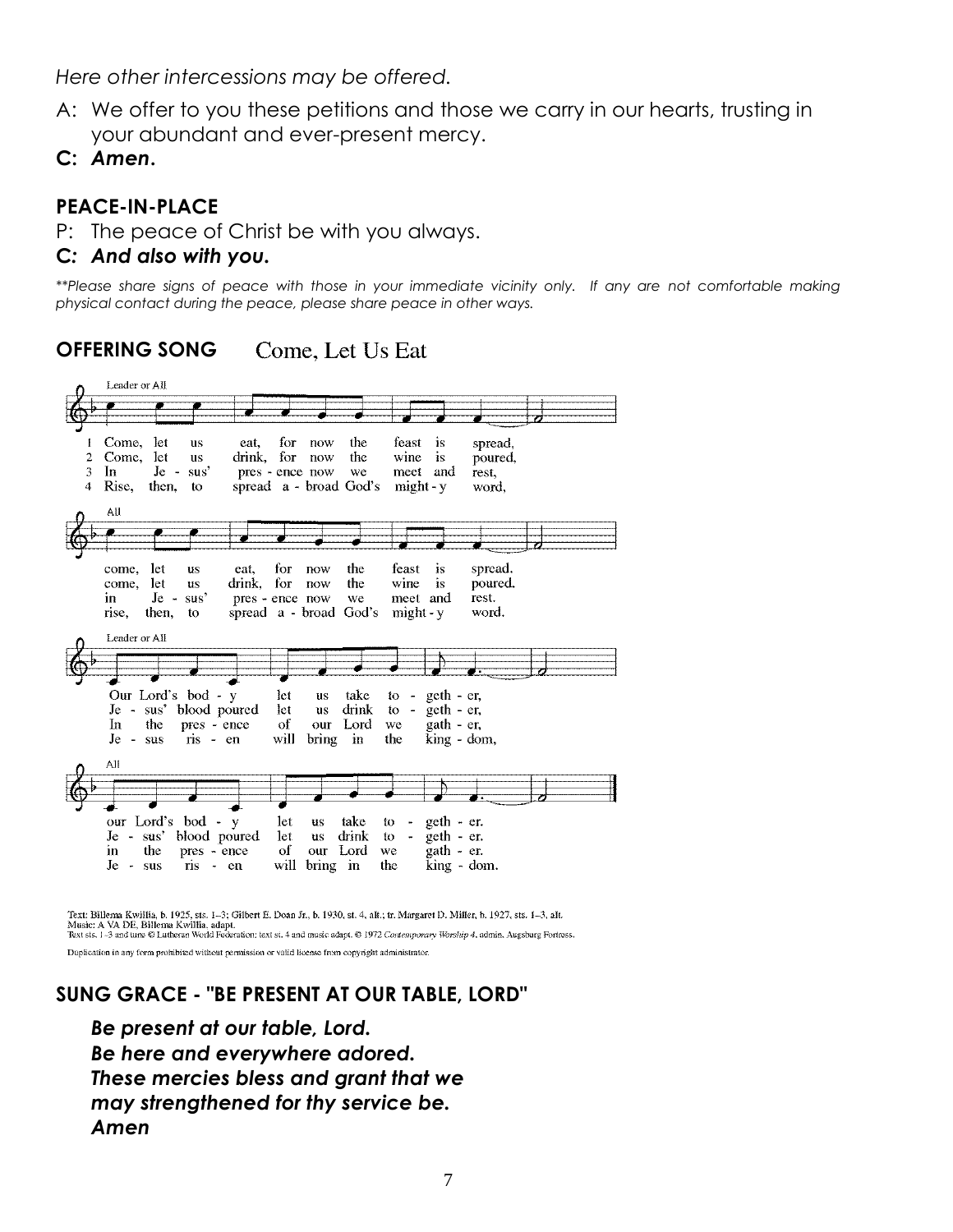*Here other intercessions may be offered.*

- A: We offer to you these petitions and those we carry in our hearts, trusting in your abundant and ever-present mercy.
- **C:** *Amen***.**

#### **PEACE-IN-PLACE**

P: The peace of Christ be with you always.

#### **C***: And also with you.*

*\*\*Please share signs of peace with those in your immediate vicinity only. If any are not comfortable making physical contact during the peace, please share peace in other ways.*

**OFFERING SONG** Come. Let Us Eat



Text: Billema Kwillia, b. 1925, sts. 1-3; Gilbert E. Doan Jr., b. 1930, st. 4, alt.; tr. Margaret D. Miller, b. 1927, sts. 1-3, alt.

Music: A VA DE, Billema Kwillia, adapt.<br>Text sts. 1-3 and tune © Lutheran World Federation: text st. 4 and music adapt. © 1972 Contemporary Worship 4, admin. Augsburg Fortress.

Duplication in any form prohibited without permission or valid license from copyright administrator.

#### **SUNG GRACE - "BE PRESENT AT OUR TABLE, LORD"**

*Be present at our table, Lord. Be here and everywhere adored. These mercies bless and grant that we may strengthened for thy service be. Amen*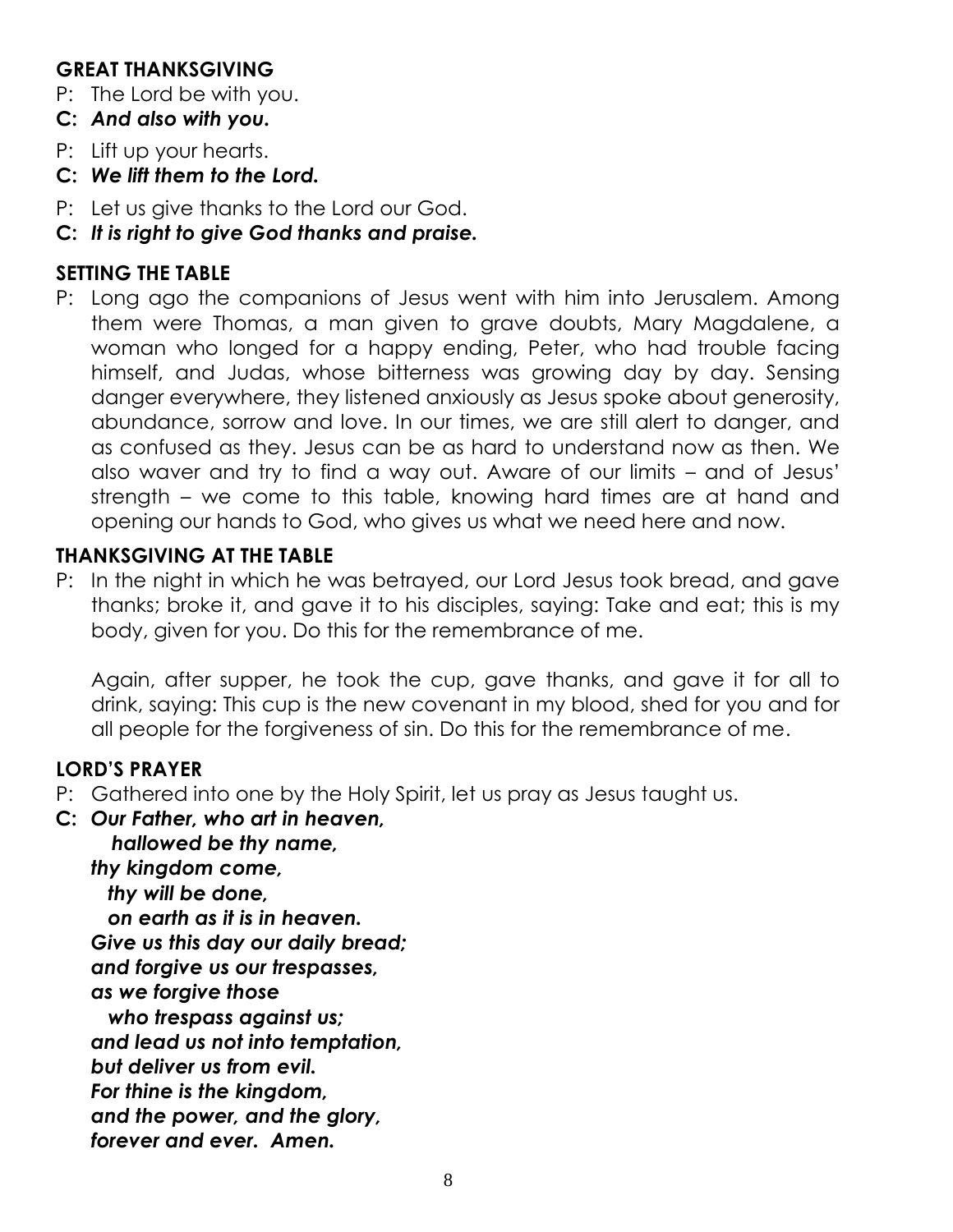#### **GREAT THANKSGIVING**

- P: The Lord be with you.
- **C:** *And also with you.*
- P: Lift up your hearts.
- **C:** *We lift them to the Lord.*
- P: Let us give thanks to the Lord our God.
- **C:** *It is right to give God thanks and praise.*

#### **SETTING THE TABLE**

P: Long ago the companions of Jesus went with him into Jerusalem. Among them were Thomas, a man given to grave doubts, Mary Magdalene, a woman who longed for a happy ending, Peter, who had trouble facing himself, and Judas, whose bitterness was growing day by day. Sensing danger everywhere, they listened anxiously as Jesus spoke about generosity, abundance, sorrow and love. In our times, we are still alert to danger, and as confused as they. Jesus can be as hard to understand now as then. We also waver and try to find a way out. Aware of our limits – and of Jesus' strength – we come to this table, knowing hard times are at hand and opening our hands to God, who gives us what we need here and now.

### **THANKSGIVING AT THE TABLE**

P: In the night in which he was betrayed, our Lord Jesus took bread, and gave thanks; broke it, and gave it to his disciples, saying: Take and eat; this is my body, given for you. Do this for the remembrance of me.

Again, after supper, he took the cup, gave thanks, and gave it for all to drink, saying: This cup is the new covenant in my blood, shed for you and for all people for the forgiveness of sin. Do this for the remembrance of me.

#### **LORD'S PRAYER**

- P: Gathered into one by the Holy Spirit, let us pray as Jesus taught us.
- **C:** *Our Father, who art in heaven,*

*hallowed be thy name,*

*thy kingdom come,*

 *thy will be done, on earth as it is in heaven. Give us this day our daily bread; and forgive us our trespasses, as we forgive those* 

 *who trespass against us; and lead us not into temptation, but deliver us from evil. For thine is the kingdom, and the power, and the glory, forever and ever. Amen.*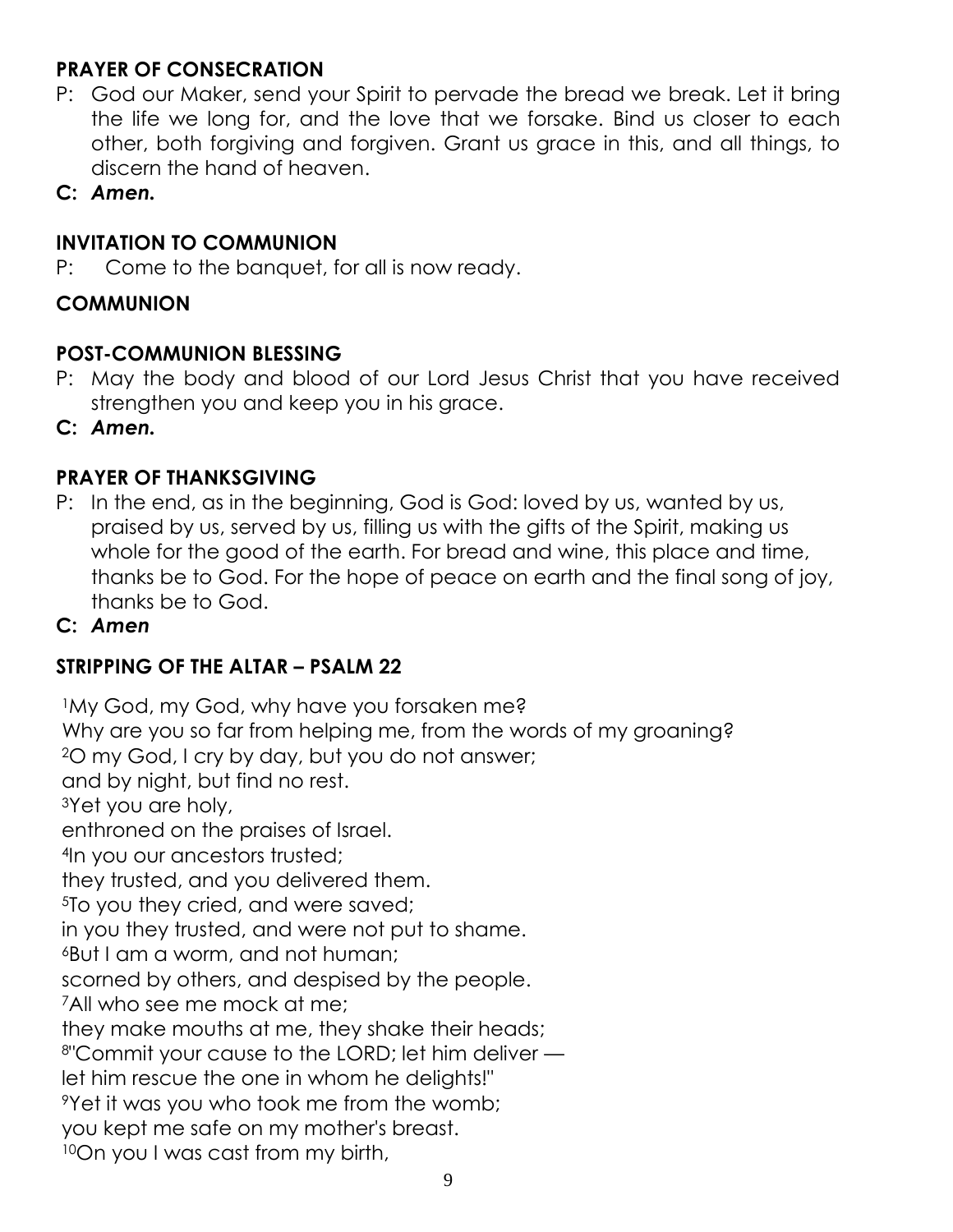# **PRAYER OF CONSECRATION**

- P: God our Maker, send your Spirit to pervade the bread we break. Let it bring the life we long for, and the love that we forsake. Bind us closer to each other, both forgiving and forgiven. Grant us grace in this, and all things, to discern the hand of heaven.
- **C:** *Amen.*

#### **INVITATION TO COMMUNION**

P: Come to the banquet, for all is now ready.

#### **COMMUNION**

#### **POST-COMMUNION BLESSING**

P: May the body and blood of our Lord Jesus Christ that you have received strengthen you and keep you in his grace.

**C:** *Amen.*

### **PRAYER OF THANKSGIVING**

P: In the end, as in the beginning, God is God: loved by us, wanted by us, praised by us, served by us, filling us with the gifts of the Spirit, making us whole for the good of the earth. For bread and wine, this place and time, thanks be to God. For the hope of peace on earth and the final song of joy, thanks be to God.

#### **C:** *Amen*

#### **STRIPPING OF THE ALTAR – PSALM 22**

<sup>1</sup>My God, my God, why have you forsaken me? Why are you so far from helping me, from the words of my groaning? <sup>2</sup>O my God, I cry by day, but you do not answer; and by night, but find no rest. <sup>3</sup>Yet you are holy, enthroned on the praises of Israel. <sup>4</sup>In you our ancestors trusted; they trusted, and you delivered them. <sup>5</sup>To you they cried, and were saved; in you they trusted, and were not put to shame. <sup>6</sup>But I am a worm, and not human; scorned by others, and despised by the people. <sup>7</sup>All who see me mock at me; they make mouths at me, they shake their heads; <sup>8</sup>"Commit your cause to the LORD; let him deliver let him rescue the one in whom he delights!" <sup>9</sup>Yet it was you who took me from the womb; you kept me safe on my mother's breast. 10On you I was cast from my birth,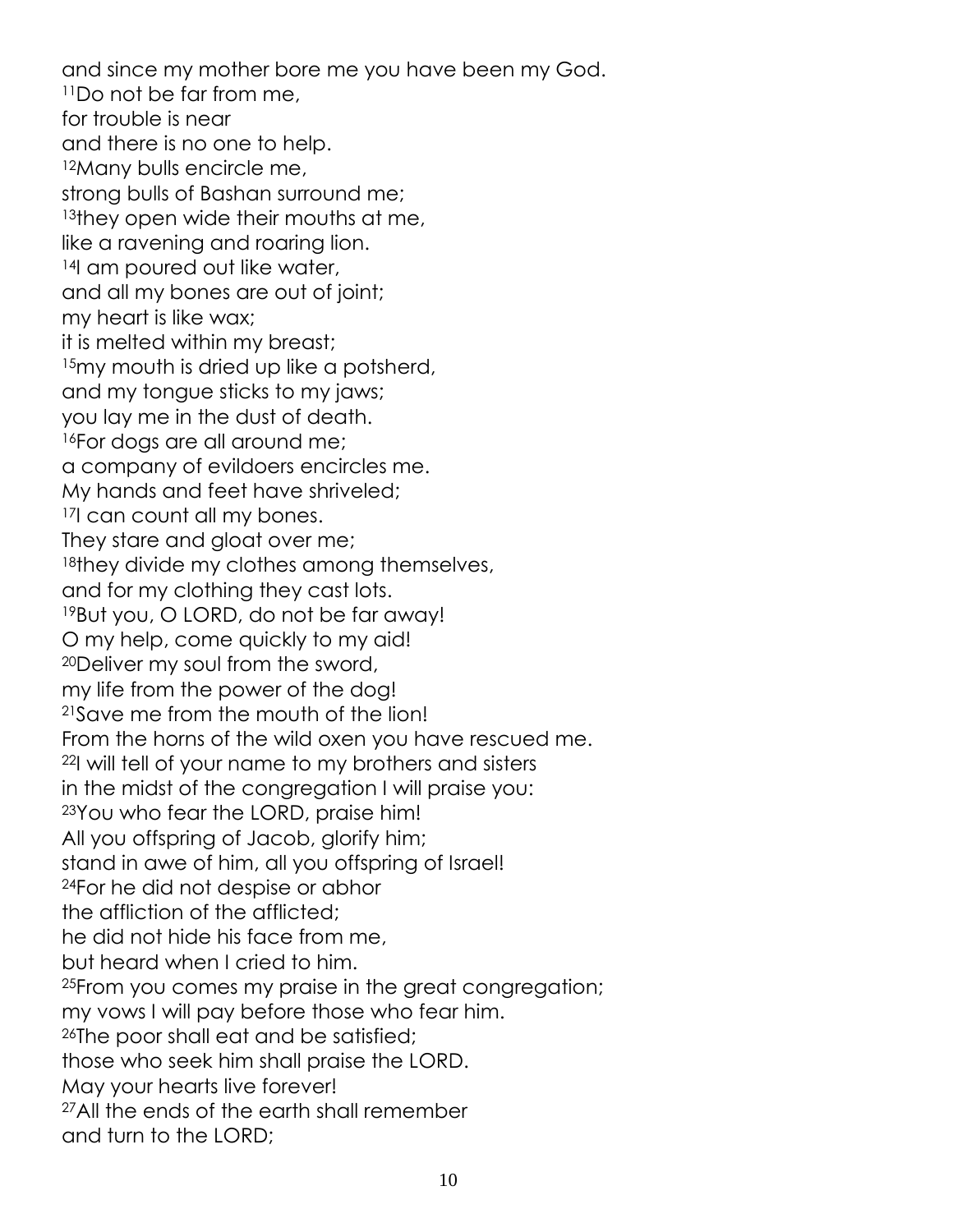and since my mother bore me you have been my God. <sup>11</sup>Do not be far from me, for trouble is near and there is no one to help. <sup>12</sup>Many bulls encircle me, strong bulls of Bashan surround me; <sup>13</sup>they open wide their mouths at me, like a ravening and roaring lion. <sup>14</sup>I am poured out like water, and all my bones are out of joint; my heart is like wax; it is melted within my breast; <sup>15</sup>my mouth is dried up like a potsherd, and my tongue sticks to my jaws; you lay me in the dust of death. <sup>16</sup>For dogs are all around me; a company of evildoers encircles me. My hands and feet have shriveled; <sup>17</sup>I can count all my bones. They stare and gloat over me; 18they divide my clothes among themselves, and for my clothing they cast lots. <sup>19</sup>But you, O LORD, do not be far away! O my help, come quickly to my aid! <sup>20</sup>Deliver my soul from the sword, my life from the power of the dog! <sup>21</sup>Save me from the mouth of the lion! From the horns of the wild oxen you have rescued me. <sup>22</sup>I will tell of your name to my brothers and sisters in the midst of the congregation I will praise you: <sup>23</sup>You who fear the LORD, praise him! All you offspring of Jacob, glorify him; stand in awe of him, all you offspring of Israel! <sup>24</sup>For he did not despise or abhor the affliction of the afflicted; he did not hide his face from me, but heard when I cried to him. <sup>25</sup>From you comes my praise in the great congregation; my vows I will pay before those who fear him. <sup>26</sup>The poor shall eat and be satisfied; those who seek him shall praise the LORD. May your hearts live forever! <sup>27</sup>All the ends of the earth shall remember and turn to the LORD;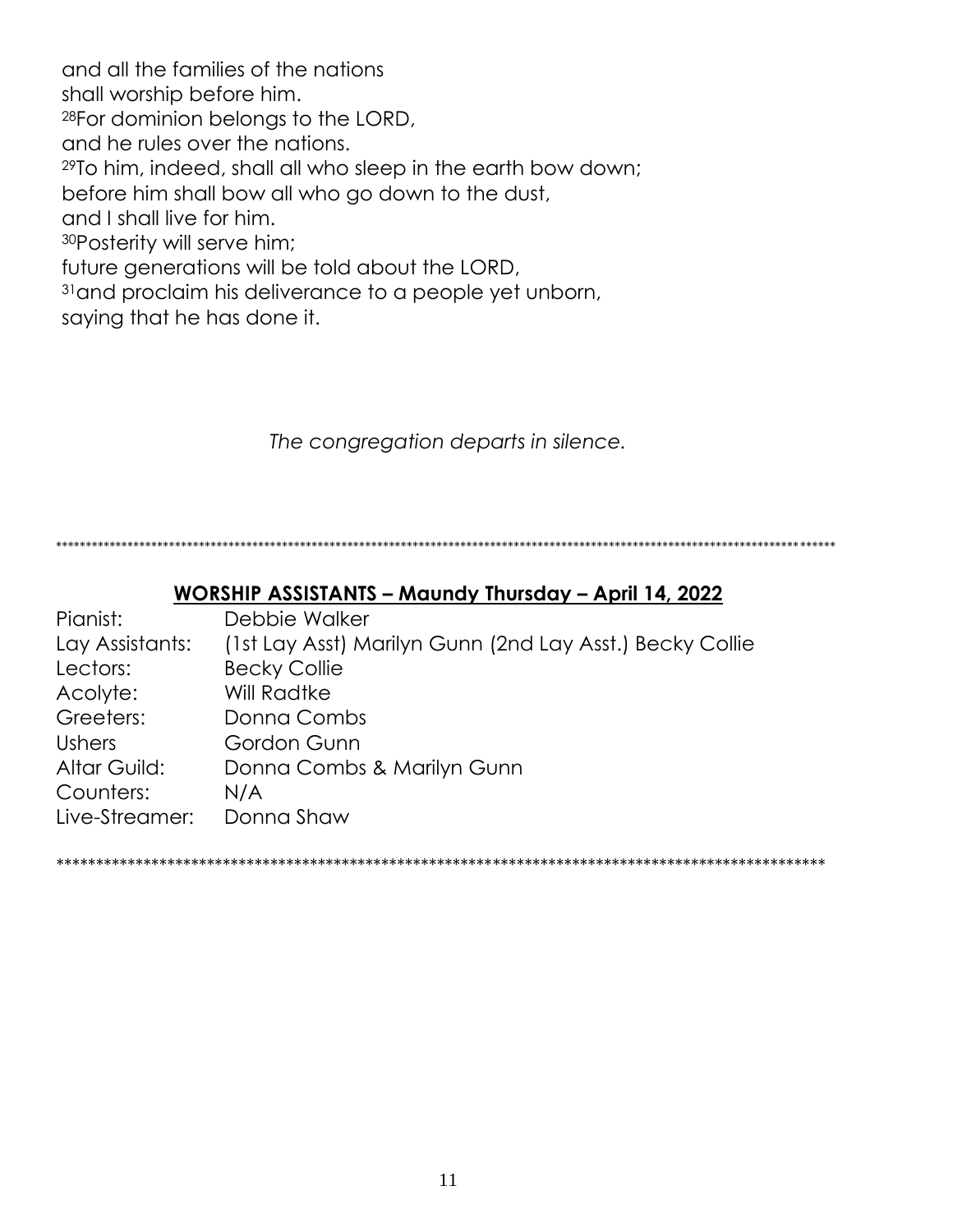and all the families of the nations shall worship before him. <sup>28</sup>For dominion belongs to the LORD, and he rules over the nations. <sup>29</sup>To him, indeed, shall all who sleep in the earth bow down; before him shall bow all who go down to the dust, and I shall live for him. <sup>30</sup>Posterity will serve him; future generations will be told about the LORD, <sup>31</sup> and proclaim his deliverance to a people yet unborn, saying that he has done it.

*The congregation departs in silence.*

\*\*\*\*\*\*\*\*\*\*\*\*\*\*\*\*\*\*\*\*\*\*\*\*\*\*\*\*\*\*\*\*\*\*\*\*\*\*\*\*\*\*\*\*\*\*\*\*\*\*\*\*\*\*\*\*\*\*\*\*\*\*\*\*\*\*\*\*\*\*\*\*\*\*\*\*\*\*\*\*\*\*\*\*\*\*\*\*\*\*\*\*\*\*\*\*\*\*\*\*\*\*\*\*\*\*\*\*\*\*\*\*\*\*\*\*\*\*\*\*\*\*\*\*\*\*\*\*\*\*\*

#### **WORSHIP ASSISTANTS – Maundy Thursday – April 14, 2022**

| Debbie Walker                                            |
|----------------------------------------------------------|
| (1st Lay Asst) Marilyn Gunn (2nd Lay Asst.) Becky Collie |
| <b>Becky Collie</b>                                      |
| <b>Will Radtke</b>                                       |
| Donna Combs                                              |
| Gordon Gunn                                              |
| Donna Combs & Marilyn Gunn                               |
| N/A                                                      |
| Donna Shaw                                               |
|                                                          |

*\*\*\*\*\*\*\*\*\*\*\*\*\*\*\*\*\*\*\*\*\*\*\*\*\*\*\*\*\*\*\*\*\*\*\*\*\*\*\*\*\*\*\*\*\*\*\*\*\*\*\*\*\*\*\*\*\*\*\*\*\*\*\*\*\*\*\*\*\*\*\*\*\*\*\*\*\*\*\*\*\*\*\*\*\*\*\*\*\*\*\*\*\*\*\*\*\**